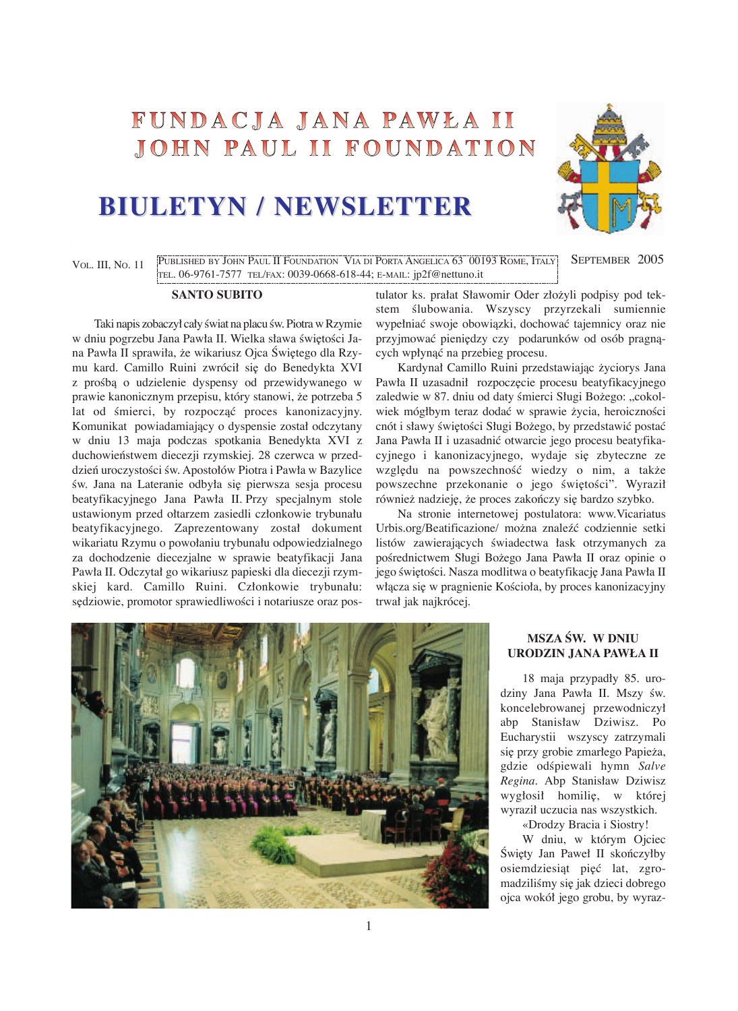# FUNDACJA JANA PAWŁA II JOHN PAUL II FOUNDATION

# **BIULETYN / NEWSLETTER BIULETYN / NEWSLETTER**



VOL. III, NO. 11 PUBLISHED BY JOHN PAUL II FOUNDATION VIA DI PORTA ANGELICA 63 00193 ROME, ITALY SEPTEMBER 2005 TEL. 06-9761-7577 TEL/FAX: 0039-0668-618-44; E-MAIL: jp2f@nettuno.it

#### **SANTO SUBITO**

Taki napis zobaczył cały świat na placu św. Piotra w Rzymie w dniu pogrzebu Jana Pawła II. Wielka sława świętości Jana Pawła II sprawiła, że wikariusz Ojca Świętego dla Rzymu kard. Camillo Ruini zwrócił się do Benedykta XVI z prośbą o udzielenie dyspensy od przewidywanego w prawie kanonicznym przepisu, który stanowi, že potrzeba 5 lat od śmierci, by rozpocząć proces kanonizacyjny. Komunikat powiadamiający o dyspensie został odczytany w dniu 13 maja podczas spotkania Benedykta XVI z duchowieƒstwem diecezji rzymskiej. 28 czerwca w przeddzień uroczystości św. Apostołów Piotra i Pawła w Bazylice św. Jana na Lateranie odbyła się pierwsza sesja procesu beatyfikacyjnego Jana Pawła II. Przy specjalnym stole ustawionym przed ołtarzem zasiedli członkowie trybunału beatyfikacyjnego. Zaprezentowany został dokument wikariatu Rzymu o powołaniu trybunału odpowiedzialnego za dochodzenie diecezjalne w sprawie beatyfikacji Jana Pawła II. Odczytał go wikariusz papieski dla diecezji rzymskiej kard. Camillo Ruini. Członkowie trybunału: sędziowie, promotor sprawiedliwości i notariusze oraz postulator ks. prałat Sławomir Oder złožyli podpisy pod tekstem ślubowania. Wszyscy przyrzekali sumiennie wypełniaç swoje obowiàzki, dochowaç tajemnicy oraz nie przyjmować pieniędzy czy podarunków od osób pragnacych wpłynàç na przebieg procesu.

Kardynał Camillo Ruini przedstawiając życiorys Jana Pawła II uzasadnił rozpoczęcie procesu beatyfikacyjnego zaledwie w 87. dniu od daty śmierci Sługi Bożego: "cokolwiek mógłbym teraz dodać w sprawie życia, heroiczności cnót i sławy świętości Sługi Bożego, by przedstawić postać Jana Pawła II i uzasadniç otwarcie jego procesu beatyfikacyjnego i kanonizacyjnego, wydaje się zbyteczne ze względu na powszechność wiedzy o nim, a także powszechne przekonanie o jego świętości". Wyraził również nadzieję, że proces zakończy się bardzo szybko.

Na stronie internetowej postulatora: www.Vicariatus Urbis.org/Beatificazione/ možna znaleêç codziennie setki listów zawierających świadectwa łask otrzymanych za pośrednictwem Sługi Bożego Jana Pawła II oraz opinie o jego świętości. Nasza modlitwa o beatyfikację Jana Pawła II włącza się w pragnienie Kościoła, by proces kanonizacyjny trwał jak najkrócej.



## **MSZA ÂW. W DNIU URODZIN JANA PAWŁA II**

18 maja przypadły 85. urodziny Jana Pawła II. Mszy św. koncelebrowanej przewodniczył abp Stanisław Dziwisz. Po Eucharystii wszyscy zatrzymali się przy grobie zmarłego Papieża, gdzie odÊpiewali hymn *Salve Regina.* Abp Stanisław Dziwisz wygłosił homilię, w której wyraził uczucia nas wszystkich.

«Drodzy Bracia i Siostry!

W dniu, w którym Ojciec Święty Jan Paweł II skończyłby osiemdziesiąt pięć lat, zgromadziliśmy się jak dzieci dobrego ojca wokół jego grobu, by wyraz-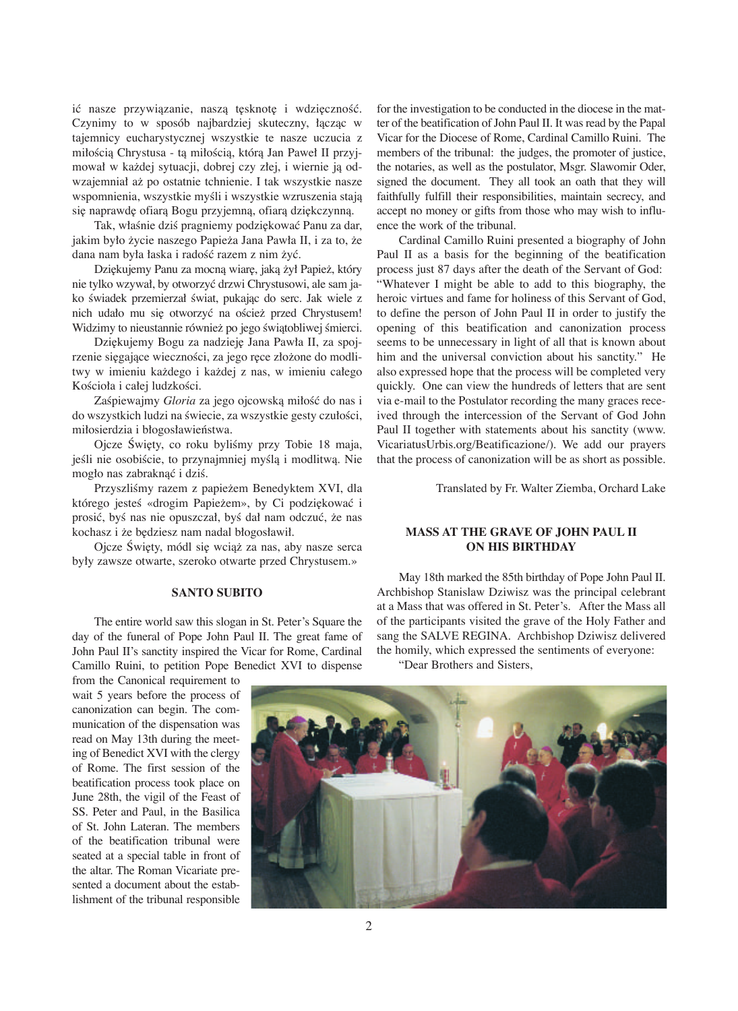ić nasze przywiązanie, naszą tęsknotę i wdzięczność. Czynimy to w sposób najbardziej skuteczny, łàczàc w tajemnicy eucharystycznej wszystkie te nasze uczucia z miłością Chrystusa - tą miłością, którą Jan Paweł II przyjmował w každej sytuacji, dobrej czy złej, i wiernie jà odwzajemniał až po ostatnie tchnienie. I tak wszystkie nasze wspomnienia, wszystkie myśli i wszystkie wzruszenia stają się naprawdę ofiarą Bogu przyjemną, ofiarą dziękczynną.

Tak, właśnie dziś pragniemy podziękować Panu za dar, jakim było žycie naszego Papieža Jana Pawła II, i za to, že dana nam była łaska i radość razem z nim żyć.

Dziękujemy Panu za mocną wiarę, jaką żył Papież, który nie tylko wzywał, by otworzyç drzwi Chrystusowi, ale sam jako świadek przemierzał świat, pukając do serc. Jak wiele z nich udało mu się otworzyć na oścież przed Chrystusem! Widzimy to nieustannie również po jego świątobliwej śmierci.

Dziękujemy Bogu za nadzieję Jana Pawła II, za spojrzenie sięgające wieczności, za jego ręce złożone do modlitwy w imieniu každego i každej z nas, w imieniu całego Kościoła i całej ludzkości.

Zaśpiewajmy *Gloria* za jego ojcowską miłość do nas i do wszystkich ludzi na świecie, za wszystkie gesty czułości, miłosierdzia i błogosławieństwa.

Ojcze Święty, co roku byliśmy przy Tobie 18 maja, jeśli nie osobiście, to przynajmniej myślą i modlitwą. Nie mogło nas zabraknąć i dziś.

Przyszliśmy razem z papieżem Benedyktem XVI, dla którego jesteś «drogim Papieżem», by Ci podziękować i prosić, byś nas nie opuszczał, byś dał nam odczuć, że nas kochasz i że będziesz nam nadal błogosławił.

Ojcze Święty, módl się wciąż za nas, aby nasze serca były zawsze otwarte, szeroko otwarte przed Chrystusem.»

#### **SANTO SUBITO**

The entire world saw this slogan in St. Peter's Square the day of the funeral of Pope John Paul II. The great fame of John Paul II's sanctity inspired the Vicar for Rome, Cardinal Camillo Ruini, to petition Pope Benedict XVI to dispense

for the investigation to be conducted in the diocese in the matter of the beatification of John Paul II. It was read by the Papal Vicar for the Diocese of Rome, Cardinal Camillo Ruini. The members of the tribunal: the judges, the promoter of justice, the notaries, as well as the postulator, Msgr. Slawomir Oder, signed the document. They all took an oath that they will faithfully fulfill their responsibilities, maintain secrecy, and accept no money or gifts from those who may wish to influence the work of the tribunal.

Cardinal Camillo Ruini presented a biography of John Paul II as a basis for the beginning of the beatification process just 87 days after the death of the Servant of God: "Whatever I might be able to add to this biography, the heroic virtues and fame for holiness of this Servant of God, to define the person of John Paul II in order to justify the opening of this beatification and canonization process seems to be unnecessary in light of all that is known about him and the universal conviction about his sanctity." He also expressed hope that the process will be completed very quickly. One can view the hundreds of letters that are sent via e-mail to the Postulator recording the many graces received through the intercession of the Servant of God John Paul II together with statements about his sanctity (www. VicariatusUrbis.org/Beatificazione/). We add our prayers that the process of canonization will be as short as possible.

Translated by Fr. Walter Ziemba, Orchard Lake

#### **MASS AT THE GRAVE OF JOHN PAUL II ON HIS BIRTHDAY**

May 18th marked the 85th birthday of Pope John Paul II. Archbishop Stanislaw Dziwisz was the principal celebrant at a Mass that was offered in St. Peter's. After the Mass all of the participants visited the grave of the Holy Father and sang the SALVE REGINA. Archbishop Dziwisz delivered the homily, which expressed the sentiments of everyone:

"Dear Brothers and Sisters,

from the Canonical requirement to wait 5 years before the process of canonization can begin. The communication of the dispensation was read on May 13th during the meeting of Benedict XVI with the clergy of Rome. The first session of the beatification process took place on June 28th, the vigil of the Feast of SS. Peter and Paul, in the Basilica of St. John Lateran. The members of the beatification tribunal were seated at a special table in front of the altar. The Roman Vicariate presented a document about the establishment of the tribunal responsible

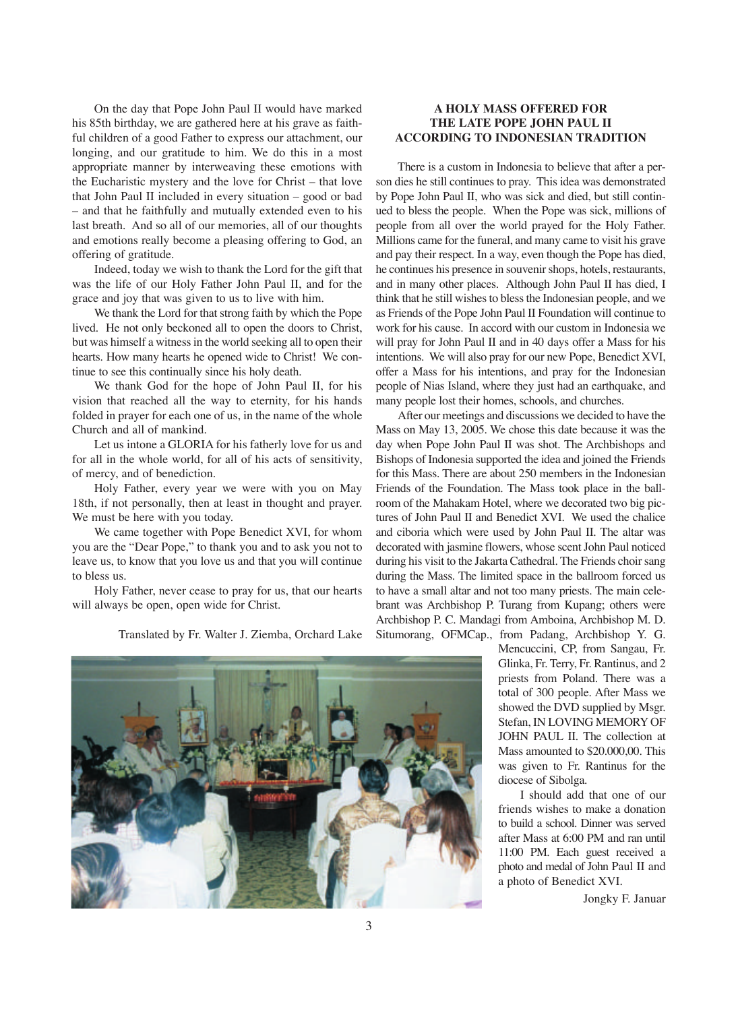On the day that Pope John Paul II would have marked his 85th birthday, we are gathered here at his grave as faithful children of a good Father to express our attachment, our longing, and our gratitude to him. We do this in a most appropriate manner by interweaving these emotions with the Eucharistic mystery and the love for Christ – that love that John Paul II included in every situation – good or bad – and that he faithfully and mutually extended even to his last breath. And so all of our memories, all of our thoughts and emotions really become a pleasing offering to God, an offering of gratitude.

Indeed, today we wish to thank the Lord for the gift that was the life of our Holy Father John Paul II, and for the grace and joy that was given to us to live with him.

We thank the Lord for that strong faith by which the Pope lived. He not only beckoned all to open the doors to Christ, but was himself a witness in the world seeking all to open their hearts. How many hearts he opened wide to Christ! We continue to see this continually since his holy death.

We thank God for the hope of John Paul II, for his vision that reached all the way to eternity, for his hands folded in prayer for each one of us, in the name of the whole Church and all of mankind.

Let us intone a GLORIA for his fatherly love for us and for all in the whole world, for all of his acts of sensitivity, of mercy, and of benediction.

Holy Father, every year we were with you on May 18th, if not personally, then at least in thought and prayer. We must be here with you today.

We came together with Pope Benedict XVI, for whom you are the "Dear Pope," to thank you and to ask you not to leave us, to know that you love us and that you will continue to bless us.

Holy Father, never cease to pray for us, that our hearts will always be open, open wide for Christ.

Translated by Fr. Walter J. Ziemba, Orchard Lake

# **A HOLY MASS OFFERED FOR THE LATE POPE JOHN PAUL II ACCORDING TO INDONESIAN TRADITION**

There is a custom in Indonesia to believe that after a person dies he still continues to pray. This idea was demonstrated by Pope John Paul II, who was sick and died, but still continued to bless the people. When the Pope was sick, millions of people from all over the world prayed for the Holy Father. Millions came for the funeral, and many came to visit his grave and pay their respect. In a way, even though the Pope has died, he continues his presence in souvenir shops, hotels, restaurants, and in many other places. Although John Paul II has died, I think that he still wishes to bless the Indonesian people, and we as Friends of the Pope John Paul II Foundation will continue to work for his cause. In accord with our custom in Indonesia we will pray for John Paul II and in 40 days offer a Mass for his intentions. We will also pray for our new Pope, Benedict XVI, offer a Mass for his intentions, and pray for the Indonesian people of Nias Island, where they just had an earthquake, and many people lost their homes, schools, and churches.

After our meetings and discussions we decided to have the Mass on May 13, 2005. We chose this date because it was the day when Pope John Paul II was shot. The Archbishops and Bishops of Indonesia supported the idea and joined the Friends for this Mass. There are about 250 members in the Indonesian Friends of the Foundation. The Mass took place in the ballroom of the Mahakam Hotel, where we decorated two big pictures of John Paul II and Benedict XVI. We used the chalice and ciboria which were used by John Paul II. The altar was decorated with jasmine flowers, whose scent John Paul noticed during his visit to the Jakarta Cathedral. The Friends choir sang during the Mass. The limited space in the ballroom forced us to have a small altar and not too many priests. The main celebrant was Archbishop P. Turang from Kupang; others were Archbishop P. C. Mandagi from Amboina, Archbishop M. D.

Situmorang, OFMCap., from Padang, Archbishop Y. G.

Mencuccini, CP, from Sangau, Fr. Glinka, Fr. Terry, Fr. Rantinus, and 2 priests from Poland. There was a total of 300 people. After Mass we showed the DVD supplied by Msgr. Stefan, IN LOVING MEMORY OF JOHN PAUL II. The collection at Mass amounted to \$20,000,00. This was given to Fr. Rantinus for the diocese of Sibolga.

I should add that one of our friends wishes to make a donation to build a school. Dinner was served after Mass at 6:00 PM and ran until 11:00 PM. Each guest received a photo and medal of John Paul II and a photo of Benedict XVI.

Jongky F. Januar



3

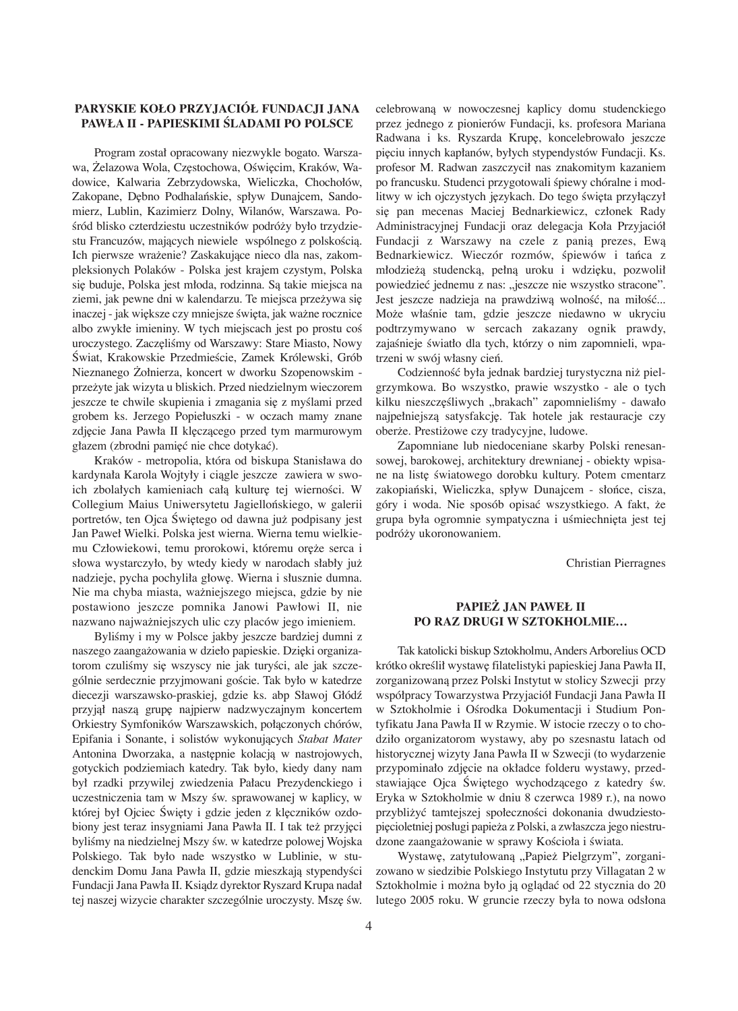# **PARYSKIE KOŁO PRZYJACIÓŁ FUNDACJI JANA PAWŁA II - PAPIESKIMI ÂLADAMI PO POLSCE**

Program został opracowany niezwykle bogato. Warszawa, Żelazowa Wola, Częstochowa, Oświęcim, Kraków, Wadowice, Kalwaria Zebrzydowska, Wieliczka, Chochołów, Zakopane, Dębno Podhalańskie, spływ Dunajcem, Sandomierz, Lublin, Kazimierz Dolny, Wilanów, Warszawa. Pośród blisko czterdziestu uczestników podróży było trzydziestu Francuzów, mających niewiele wspólnego z polskością. Ich pierwsze wrażenie? Zaskakujące nieco dla nas, zakompleksionych Polaków - Polska jest krajem czystym, Polska się buduje, Polska jest młoda, rodzinna. Są takie miejsca na ziemi, jak pewne dni w kalendarzu. Te miejsca przeżywa się inaczej - jak większe czy mniejsze święta, jak ważne rocznice albo zwykłe imieniny. W tych miejscach jest po prostu coś uroczystego. Zaczęliśmy od Warszawy: Stare Miasto, Nowy Świat, Krakowskie Przedmieście, Zamek Królewski, Grób Nieznanego ðołnierza, koncert w dworku Szopenowskim przežyte jak wizyta u bliskich. Przed niedzielnym wieczorem jeszcze te chwile skupienia i zmagania się z myślami przed grobem ks. Jerzego Popiełuszki - w oczach mamy znane zdjęcie Jana Pawła II klęczącego przed tym marmurowym głazem (zbrodni pamieć nie chce dotykać).

Kraków - metropolia, która od biskupa Stanisława do kardynała Karola Wojtyły i ciàgle jeszcze zawiera w swoich zbolałych kamieniach całą kulturę tej wierności. W Collegium Maius Uniwersytetu Jagiellońskiego, w galerii portretów, ten Ojca Świętego od dawna już podpisany jest Jan Paweł Wielki. Polska jest wierna. Wierna temu wielkiemu Człowiekowi, temu prorokowi, któremu oręże serca i słowa wystarczyło, by wtedy kiedy w narodach słabły juž nadzieje, pycha pochyliła głow∏. Wierna i słusznie dumna. Nie ma chyba miasta, wažniejszego miejsca, gdzie by nie postawiono jeszcze pomnika Janowi Pawłowi II, nie nazwano najwažniejszych ulic czy placów jego imieniem.

Byliśmy i my w Polsce jakby jeszcze bardziej dumni z naszego zaangażowania w dzieło papieskie. Dzięki organizatorom czuliśmy się wszyscy nie jak turyści, ale jak szczególnie serdecznie przyjmowani goście. Tak było w katedrze diecezji warszawsko-praskiej, gdzie ks. abp Sławoj Głódê przyjął naszą grupę najpierw nadzwyczajnym koncertem Orkiestry Symfoników Warszawskich, połàczonych chórów, Epifania i Sonante, i solistów wykonujàcych *Stabat Mater* Antonina Dworzaka, a następnie kolacją w nastrojowych, gotyckich podziemiach katedry. Tak było, kiedy dany nam był rzadki przywilej zwiedzenia Pałacu Prezydenckiego i uczestniczenia tam w Mszy św. sprawowanej w kaplicy, w której był Ojciec Święty i gdzie jeden z klęczników ozdobiony jest teraz insygniami Jana Pawła II. I tak też przyjęci byliśmy na niedzielnej Mszy św. w katedrze polowej Wojska Polskiego. Tak było nade wszystko w Lublinie, w studenckim Domu Jana Pawła II, gdzie mieszkają stypendyści Fundacji Jana Pawła II. Ksiàdz dyrektor Ryszard Krupa nadał tej naszej wizycie charakter szczególnie uroczysty. Mszę św. celebrowanà w nowoczesnej kaplicy domu studenckiego przez jednego z pionierów Fundacji, ks. profesora Mariana Radwana i ks. Ryszarda Krup∏, koncelebrowało jeszcze pięciu innych kapłanów, byłych stypendystów Fundacji. Ks. profesor M. Radwan zaszczycił nas znakomitym kazaniem po francusku. Studenci przygotowali śpiewy chóralne i modlitwy w ich ojczystych językach. Do tego święta przyłączył się pan mecenas Maciej Bednarkiewicz, członek Rady Administracyjnej Fundacji oraz delegacja Koła Przyjaciół Fundacji z Warszawy na czele z panià prezes, Ewà Bednarkiewicz. Wieczór rozmów, śpiewów i tańca z młodzieżą studencką, pełną uroku i wdzięku, pozwolił powiedzieć jednemu z nas: "jeszcze nie wszystko stracone". Jest jeszcze nadzieja na prawdziwą wolność, na miłość... Może właśnie tam, gdzie jeszcze niedawno w ukryciu podtrzymywano w sercach zakazany ognik prawdy, zajaśnieje światło dla tych, którzy o nim zapomnieli, wpatrzeni w swój własny cień.

Codzienność była jednak bardziej turystyczna niż pielgrzymkowa. Bo wszystko, prawie wszystko - ale o tych kilku nieszczęśliwych "brakach" zapomnieliśmy - dawało najpełniejszą satysfakcję. Tak hotele jak restauracje czy oberže. Prestižowe czy tradycyjne, ludowe.

Zapomniane lub niedoceniane skarby Polski renesansowej, barokowej, architektury drewnianej - obiekty wpisane na listę światowego dorobku kultury. Potem cmentarz zakopiański, Wieliczka, spływ Dunajcem - słońce, cisza, góry i woda. Nie sposób opisaç wszystkiego. A fakt, že grupa była ogromnie sympatyczna i uśmiechnięta jest tej podróžy ukoronowaniem.

Christian Pierragnes

### **PAPIEþ JAN PAWEŁ II PO RAZ DRUGI W SZTOKHOLMIE…**

Tak katolicki biskup Sztokholmu, Anders Arborelius OCD krótko określił wystawę filatelistyki papieskiej Jana Pawła II, zorganizowanà przez Polski Instytut w stolicy Szwecji przy współpracy Towarzystwa Przyjaciół Fundacji Jana Pawła II w Sztokholmie i Ośrodka Dokumentacji i Studium Pontyfikatu Jana Pawła II w Rzymie. W istocie rzeczy o to chodziło organizatorom wystawy, aby po szesnastu latach od historycznej wizyty Jana Pawła II w Szwecji (to wydarzenie przypominało zdjęcie na okładce folderu wystawy, przedstawiające Ojca Świętego wychodzącego z katedry św. Eryka w Sztokholmie w dniu 8 czerwca 1989 r.), na nowo przybliżyć tamtejszej społeczności dokonania dwudziestopi∏cioletniej posługi papieža z Polski, a zwłaszcza jego niestrudzone zaangażowanie w sprawy Kościoła i świata.

Wystawę, zatytułowaną "Papież Pielgrzym", zorganizowano w siedzibie Polskiego Instytutu przy Villagatan 2 w Sztokholmie i možna było jà oglàdaç od 22 stycznia do 20 lutego 2005 roku. W gruncie rzeczy była to nowa odsłona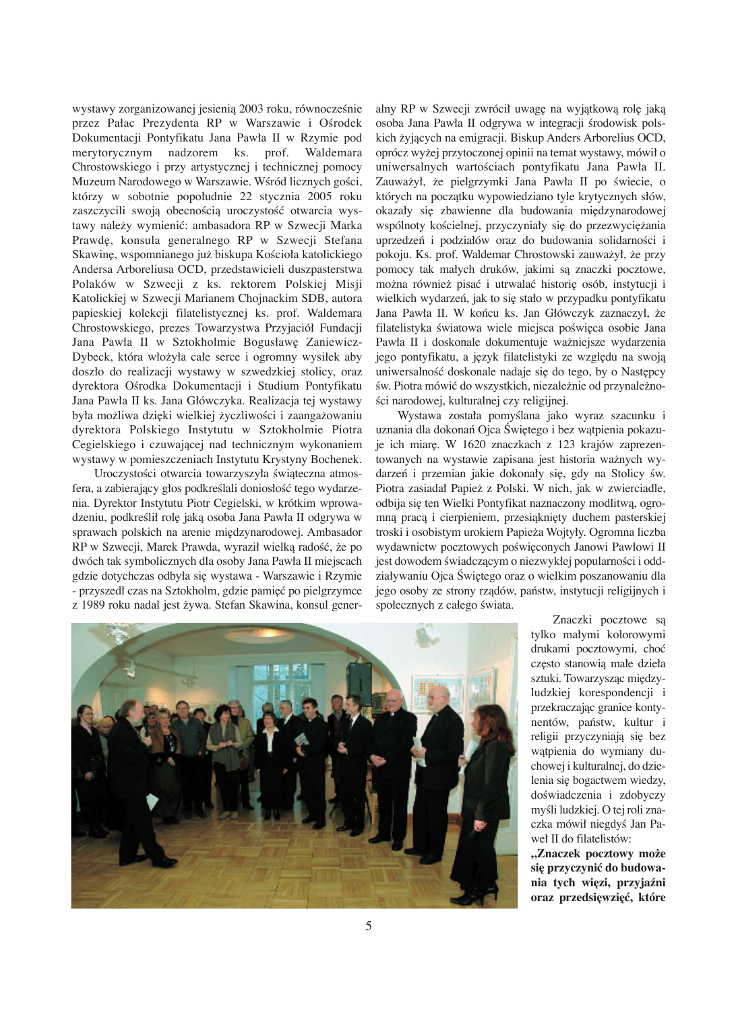wystawy zorganizowanej jesienią 2003 roku, równocześnie przez Pałac Prezydenta RP w Warszawie i Ośrodek Dokumentacji Pontyfikatu Jana Pawła II w Rzymie pod merytorycznym nadzorem ks. prof. Waldemara Chrostowskiego i przy artystycznej i technicznej pomocy Muzeum Narodowego w Warszawie. Wśród licznych gości, którzy w sobotnie popołudnie 22 stycznia 2005 roku zaszczycili swoją obecnością uroczystość otwarcia wystawy naležy wymieniç: ambasadora RP w Szwecji Marka Prawd∏, konsula generalnego RP w Szwecji Stefana Skawinę, wspomnianego już biskupa Kościoła katolickiego Andersa Arboreliusa OCD, przedstawicieli duszpasterstwa Polaków w Szwecji z ks. rektorem Polskiej Misji Katolickiej w Szwecji Marianem Chojnackim SDB, autora papieskiej kolekcji filatelistycznej ks. prof. Waldemara Chrostowskiego, prezes Towarzystwa Przyjaciół Fundacji Jana Pawła II w Sztokholmie Bogusławę Zaniewicz-Dybeck, która włožyła całe serce i ogromny wysiłek aby doszło do realizacji wystawy w szwedzkiej stolicy, oraz dyrektora Ośrodka Dokumentacji i Studium Pontyfikatu Jana Pawła II ks. Jana Główczyka. Realizacja tej wystawy była możliwa dzięki wielkiej życzliwości i zaangażowaniu dyrektora Polskiego Instytutu w Sztokholmie Piotra Cegielskiego i czuwającej nad technicznym wykonaniem wystawy w pomieszczeniach Instytutu Krystyny Bochenek.

Uroczystości otwarcia towarzyszyła świąteczna atmosfera, a zabierający głos podkreślali doniosłość tego wydarzenia. Dyrektor Instytutu Piotr Cegielski, w krótkim wprowadzeniu, podkreślił rolę jaką osoba Jana Pawła II odgrywa w sprawach polskich na arenie międzynarodowej. Ambasador RP w Szwecji, Marek Prawda, wyraził wielką radość, że po dwóch tak symbolicznych dla osoby Jana Pawła II miejscach gdzie dotychczas odbyła się wystawa - Warszawie i Rzymie - przyszedł czas na Sztokholm, gdzie pamięć po pielgrzymce z 1989 roku nadal jest žywa. Stefan Skawina, konsul generalny RP w Szwecji zwrócił uwagę na wyjątkową rolę jaką osoba Jana Pawła II odgrywa w integracji środowisk polskich žyjàcych na emigracji. Biskup Anders Arborelius OCD, oprócz wyžej przytoczonej opinii na temat wystawy, mówił o uniwersalnych wartościach pontyfikatu Jana Pawła II. Zauważył, że pielgrzymki Jana Pawła II po świecie, o których na początku wypowiedziano tyle krytycznych słów, okazały się zbawienne dla budowania międzynarodowej wspólnoty kościelnej, przyczyniały się do przezwyciężania uprzedzeń i podziałów oraz do budowania solidarności i pokoju. Ks. prof. Waldemar Chrostowski zauwažył, že przy pomocy tak małych druków, jakimi sà znaczki pocztowe, można również pisać i utrwalać historię osób, instytucji i wielkich wydarzeń, jak to się stało w przypadku pontyfikatu Jana Pawła II. W końcu ks. Jan Główczyk zaznaczył, że filatelistyka światowa wiele miejsca poświęca osobie Jana Pawła II i doskonale dokumentuje wažniejsze wydarzenia jego pontyfikatu, a język filatelistyki ze względu na swoją uniwersalność doskonale nadaje się do tego, by o Następcy św. Piotra mówić do wszystkich, niezależnie od przynależności narodowej, kulturalnej czy religijnej.

Wystawa została pomyślana jako wyraz szacunku i uznania dla dokonań Ojca Świętego i bez wątpienia pokazuje ich miarę. W 1620 znaczkach z 123 krajów zaprezentowanych na wystawie zapisana jest historia wažnych wydarzeń i przemian jakie dokonały się, gdy na Stolicy św. Piotra zasiadał Papiež z Polski. W nich, jak w zwierciadle, odbija się ten Wielki Pontyfikat naznaczony modlitwą, ogromną pracą i cierpieniem, przesiąknięty duchem pasterskiej troski i osobistym urokiem Papieža Wojtyły. Ogromna liczba wydawnictw pocztowych poświęconych Janowi Pawłowi II jest dowodem świadczącym o niezwykłej popularności i oddziaływaniu Ojca Świętego oraz o wielkim poszanowaniu dla jego osoby ze strony rządów, państw, instytucji religijnych i społecznych z całego świata.



Znaczki pocztowe są tylko małymi kolorowymi drukami pocztowymi, choç cz∏sto stanowià małe dzieła sztuki. Towarzysząc międzyludzkiej korespondencji i przekraczajàc granice kontynentów, państw, kultur i religii przyczyniają się bez wàtpienia do wymiany duchowej i kulturalnej, do dzielenia się bogactwem wiedzy, doświadczenia i zdobyczy myśli ludzkiej. O tej roli znaczka mówił niegdyś Jan Paweł II do filatelistów:

**"Znaczek pocztowy mo−e si∏ przyczynić do budowania tych wi∏zi, przyjaêni oraz przedsi∏wzi∏ć, które**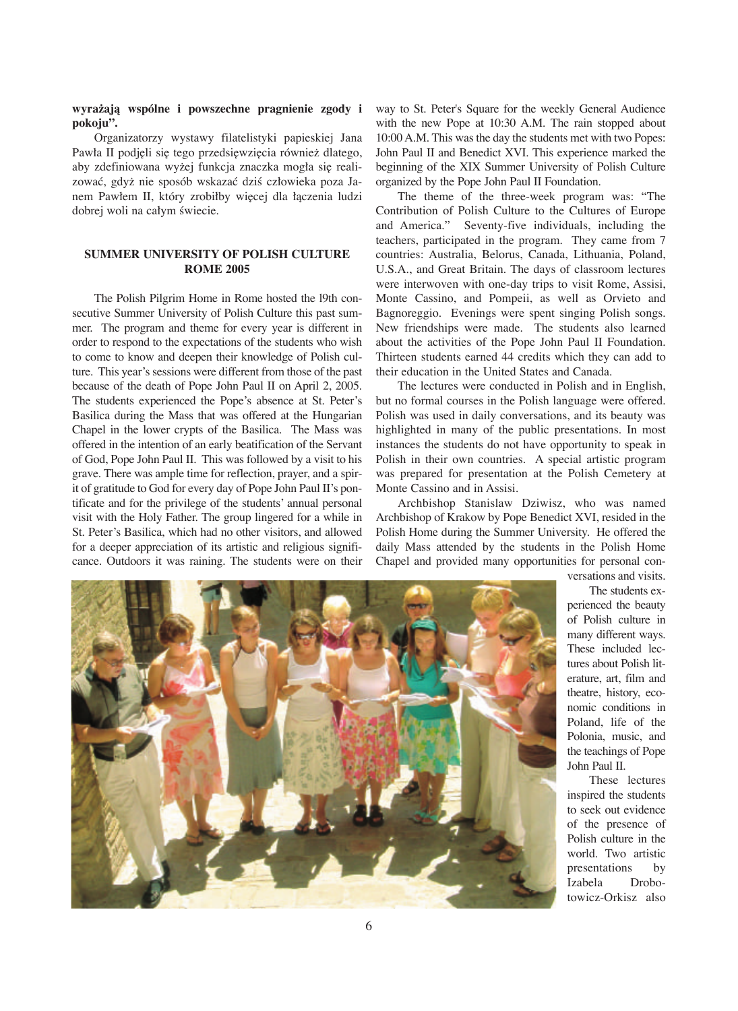# **wyra−ajà wspólne i powszechne pragnienie zgody i pokoju".**

Organizatorzy wystawy filatelistyki papieskiej Jana Pawła II podjęli się tego przedsięwzięcia również dlatego, aby zdefiniowana wyżej funkcja znaczka mogła się realizować, gdyż nie sposób wskazać dziś człowieka poza Janem Pawłem II, który zrobiłby więcej dla łączenia ludzi dobrej woli na całym świecie.

### **SUMMER UNIVERSITY OF POLISH CULTURE ROME 2005**

The Polish Pilgrim Home in Rome hosted the l9th consecutive Summer University of Polish Culture this past summer. The program and theme for every year is different in order to respond to the expectations of the students who wish to come to know and deepen their knowledge of Polish culture. This year's sessions were different from those of the past because of the death of Pope John Paul II on April 2, 2005. The students experienced the Pope's absence at St. Peter's Basilica during the Mass that was offered at the Hungarian Chapel in the lower crypts of the Basilica. The Mass was offered in the intention of an early beatification of the Servant of God, Pope John Paul II. This was followed by a visit to his grave. There was ample time for reflection, prayer, and a spirit of gratitude to God for every day of Pope John Paul II's pontificate and for the privilege of the students' annual personal visit with the Holy Father. The group lingered for a while in St. Peter's Basilica, which had no other visitors, and allowed for a deeper appreciation of its artistic and religious significance. Outdoors it was raining. The students were on their way to St. Peter's Square for the weekly General Audience with the new Pope at 10:30 A.M. The rain stopped about 10:00 A.M. This was the day the students met with two Popes: John Paul II and Benedict XVI. This experience marked the beginning of the XIX Summer University of Polish Culture organized by the Pope John Paul II Foundation.

The theme of the three-week program was: "The Contribution of Polish Culture to the Cultures of Europe and America." Seventy-five individuals, including the teachers, participated in the program. They came from 7 countries: Australia, Belorus, Canada, Lithuania, Poland, U.S.A., and Great Britain. The days of classroom lectures were interwoven with one-day trips to visit Rome, Assisi, Monte Cassino, and Pompeii, as well as Orvieto and Bagnoreggio. Evenings were spent singing Polish songs. New friendships were made. The students also learned about the activities of the Pope John Paul II Foundation. Thirteen students earned 44 credits which they can add to their education in the United States and Canada.

The lectures were conducted in Polish and in English, but no formal courses in the Polish language were offered. Polish was used in daily conversations, and its beauty was highlighted in many of the public presentations. In most instances the students do not have opportunity to speak in Polish in their own countries. A special artistic program was prepared for presentation at the Polish Cemetery at Monte Cassino and in Assisi.

Archbishop Stanislaw Dziwisz, who was named Archbishop of Krakow by Pope Benedict XVI, resided in the Polish Home during the Summer University. He offered the daily Mass attended by the students in the Polish Home Chapel and provided many opportunities for personal con-



versations and visits.

The students experienced the beauty of Polish culture in many different ways. These included lectures about Polish literature, art, film and theatre, history, economic conditions in Poland, life of the Polonia, music, and the teachings of Pope John Paul II.

These lectures inspired the students to seek out evidence of the presence of Polish culture in the world. Two artistic presentations by Izabela Drobotowicz-Orkisz also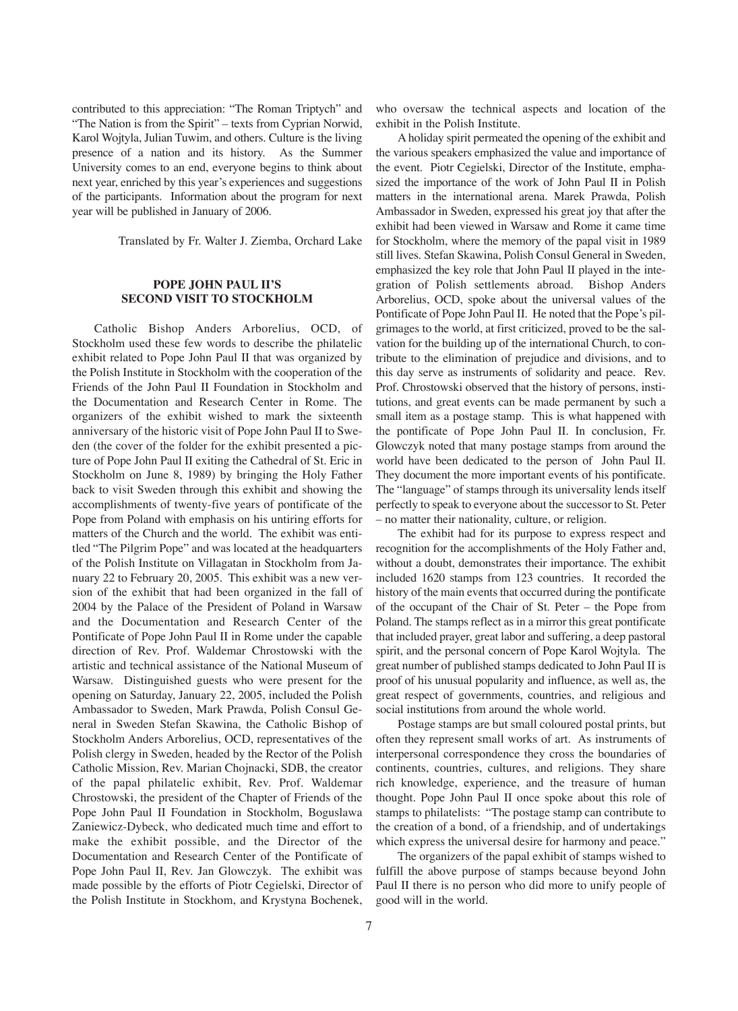contributed to this appreciation: "The Roman Triptych" and "The Nation is from the Spirit" – texts from Cyprian Norwid, Karol Wojtyla, Julian Tuwim, and others. Culture is the living presence of a nation and its history. As the Summer University comes to an end, everyone begins to think about next year, enriched by this year's experiences and suggestions of the participants. Information about the program for next year will be published in January of 2006.

Translated by Fr. Walter J. Ziemba, Orchard Lake

#### **POPE JOHN PAUL II'S SECOND VISIT TO STOCKHOLM**

Catholic Bishop Anders Arborelius, OCD, of Stockholm used these few words to describe the philatelic exhibit related to Pope John Paul II that was organized by the Polish Institute in Stockholm with the cooperation of the Friends of the John Paul II Foundation in Stockholm and the Documentation and Research Center in Rome. The organizers of the exhibit wished to mark the sixteenth anniversary of the historic visit of Pope John Paul II to Sweden (the cover of the folder for the exhibit presented a picture of Pope John Paul II exiting the Cathedral of St. Eric in Stockholm on June 8, 1989) by bringing the Holy Father back to visit Sweden through this exhibit and showing the accomplishments of twenty-five years of pontificate of the Pope from Poland with emphasis on his untiring efforts for matters of the Church and the world. The exhibit was entitled "The Pilgrim Pope" and was located at the headquarters of the Polish Institute on Villagatan in Stockholm from January 22 to February 20, 2005. This exhibit was a new version of the exhibit that had been organized in the fall of 2004 by the Palace of the President of Poland in Warsaw and the Documentation and Research Center of the Pontificate of Pope John Paul II in Rome under the capable direction of Rev. Prof. Waldemar Chrostowski with the artistic and technical assistance of the National Museum of Warsaw. Distinguished guests who were present for the opening on Saturday, January 22, 2005, included the Polish Ambassador to Sweden, Mark Prawda, Polish Consul General in Sweden Stefan Skawina, the Catholic Bishop of Stockholm Anders Arborelius, OCD, representatives of the Polish clergy in Sweden, headed by the Rector of the Polish Catholic Mission, Rev. Marian Chojnacki, SDB, the creator of the papal philatelic exhibit, Rev. Prof. Waldemar Chrostowski, the president of the Chapter of Friends of the Pope John Paul II Foundation in Stockholm, Boguslawa Zaniewicz-Dybeck, who dedicated much time and effort to make the exhibit possible, and the Director of the Documentation and Research Center of the Pontificate of Pope John Paul II, Rev. Jan Glowczyk. The exhibit was made possible by the efforts of Piotr Cegielski, Director of the Polish Institute in Stockhom, and Krystyna Bochenek, who oversaw the technical aspects and location of the exhibit in the Polish Institute.

A holiday spirit permeated the opening of the exhibit and the various speakers emphasized the value and importance of the event. Piotr Cegielski, Director of the Institute, emphasized the importance of the work of John Paul II in Polish matters in the international arena. Marek Prawda, Polish Ambassador in Sweden, expressed his great joy that after the exhibit had been viewed in Warsaw and Rome it came time for Stockholm, where the memory of the papal visit in 1989 still lives. Stefan Skawina, Polish Consul General in Sweden, emphasized the key role that John Paul II played in the integration of Polish settlements abroad. Bishop Anders Arborelius, OCD, spoke about the universal values of the Pontificate of Pope John Paul II. He noted that the Pope's pilgrimages to the world, at first criticized, proved to be the salvation for the building up of the international Church, to contribute to the elimination of prejudice and divisions, and to this day serve as instruments of solidarity and peace. Rev. Prof. Chrostowski observed that the history of persons, institutions, and great events can be made permanent by such a small item as a postage stamp. This is what happened with the pontificate of Pope John Paul II. In conclusion, Fr. Glowczyk noted that many postage stamps from around the world have been dedicated to the person of John Paul II. They document the more important events of his pontificate. The "language" of stamps through its universality lends itself perfectly to speak to everyone about the successor to St. Peter – no matter their nationality, culture, or religion.

The exhibit had for its purpose to express respect and recognition for the accomplishments of the Holy Father and, without a doubt, demonstrates their importance. The exhibit included 1620 stamps from 123 countries. It recorded the history of the main events that occurred during the pontificate of the occupant of the Chair of St. Peter – the Pope from Poland. The stamps reflect as in a mirror this great pontificate that included prayer, great labor and suffering, a deep pastoral spirit, and the personal concern of Pope Karol Wojtyla. The great number of published stamps dedicated to John Paul II is proof of his unusual popularity and influence, as well as, the great respect of governments, countries, and religious and social institutions from around the whole world.

Postage stamps are but small coloured postal prints, but often they represent small works of art. As instruments of interpersonal correspondence they cross the boundaries of continents, countries, cultures, and religions. They share rich knowledge, experience, and the treasure of human thought. Pope John Paul II once spoke about this role of stamps to philatelists: "The postage stamp can contribute to the creation of a bond, of a friendship, and of undertakings which express the universal desire for harmony and peace."

The organizers of the papal exhibit of stamps wished to fulfill the above purpose of stamps because beyond John Paul II there is no person who did more to unify people of good will in the world.